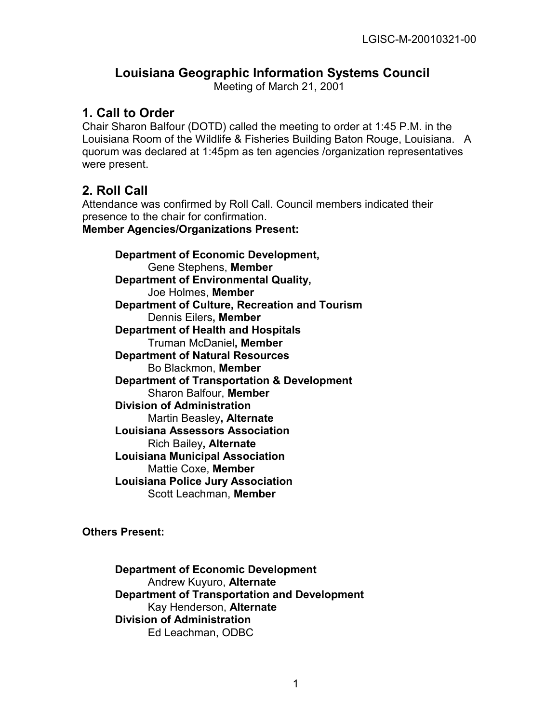## **Louisiana Geographic Information Systems Council**

Meeting of March 21, 2001

### **1. Call to Order**

Chair Sharon Balfour (DOTD) called the meeting to order at 1:45 P.M. in the Louisiana Room of the Wildlife & Fisheries Building Baton Rouge, Louisiana. A quorum was declared at 1:45pm as ten agencies /organization representatives were present.

## **2. Roll Call**

Attendance was confirmed by Roll Call. Council members indicated their presence to the chair for confirmation.

**Member Agencies/Organizations Present:**

**Department of Economic Development,**  Gene Stephens, **Member Department of Environmental Quality,**  Joe Holmes, **Member Department of Culture, Recreation and Tourism**  Dennis Eilers**, Member Department of Health and Hospitals** Truman McDaniel**, Member Department of Natural Resources**  Bo Blackmon, **Member Department of Transportation & Development**  Sharon Balfour, **Member Division of Administration** Martin Beasley**, Alternate Louisiana Assessors Association** Rich Bailey**, Alternate Louisiana Municipal Association** Mattie Coxe, **Member Louisiana Police Jury Association**  Scott Leachman, **Member** 

**Others Present:**

**Department of Economic Development**  Andrew Kuyuro, **Alternate Department of Transportation and Development**  Kay Henderson, **Alternate Division of Administration**  Ed Leachman, ODBC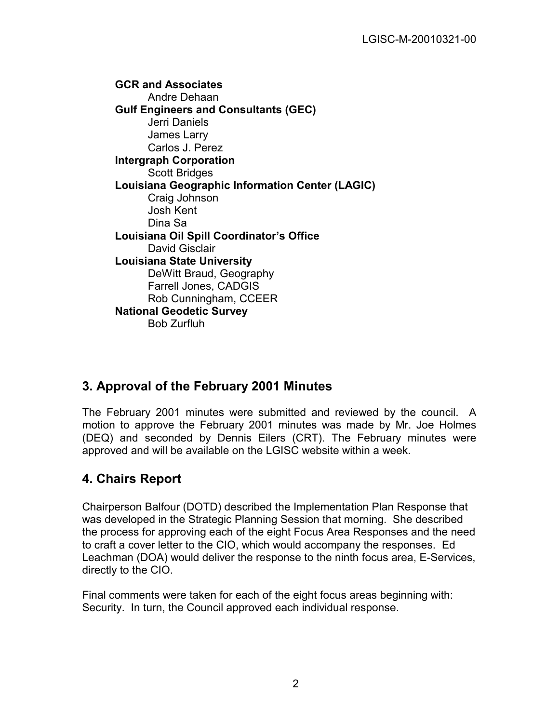**GCR and Associates**  Andre Dehaan **Gulf Engineers and Consultants (GEC)**  Jerri Daniels James Larry Carlos J. Perez **Intergraph Corporation**  Scott Bridges **Louisiana Geographic Information Center (LAGIC)**  Craig Johnson Josh Kent Dina Sa **Louisiana Oil Spill Coordinator's Office** David Gisclair **Louisiana State University** DeWitt Braud, Geography Farrell Jones, CADGIS Rob Cunningham, CCEER **National Geodetic Survey**  Bob Zurfluh

# **3. Approval of the February 2001 Minutes**

The February 2001 minutes were submitted and reviewed by the council. A motion to approve the February 2001 minutes was made by Mr. Joe Holmes (DEQ) and seconded by Dennis Eilers (CRT). The February minutes were approved and will be available on the LGISC website within a week.

# **4. Chairs Report**

Chairperson Balfour (DOTD) described the Implementation Plan Response that was developed in the Strategic Planning Session that morning. She described the process for approving each of the eight Focus Area Responses and the need to craft a cover letter to the CIO, which would accompany the responses. Ed Leachman (DOA) would deliver the response to the ninth focus area, E-Services, directly to the CIO.

Final comments were taken for each of the eight focus areas beginning with: Security. In turn, the Council approved each individual response.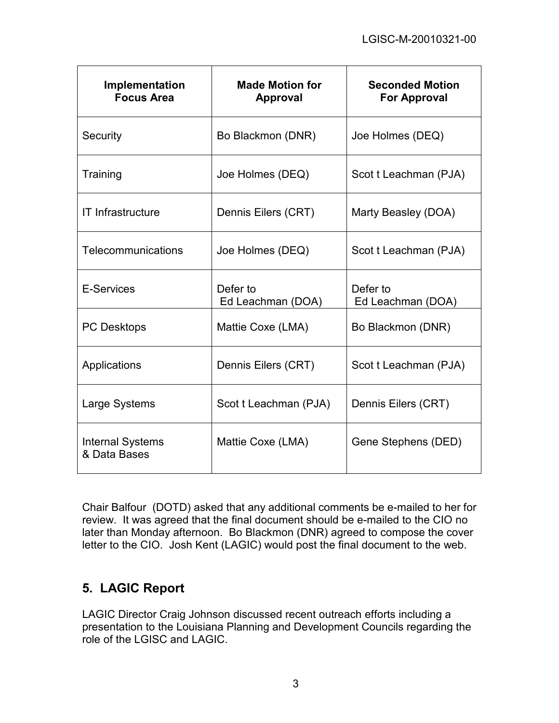| Implementation<br><b>Focus Area</b>     | <b>Made Motion for</b><br><b>Approval</b> | <b>Seconded Motion</b><br><b>For Approval</b> |
|-----------------------------------------|-------------------------------------------|-----------------------------------------------|
| Security                                | Bo Blackmon (DNR)                         | Joe Holmes (DEQ)                              |
| Training                                | Joe Holmes (DEQ)                          | Scot t Leachman (PJA)                         |
| <b>IT Infrastructure</b>                | Dennis Eilers (CRT)                       | Marty Beasley (DOA)                           |
| Telecommunications                      | Joe Holmes (DEQ)                          | Scot t Leachman (PJA)                         |
| E-Services                              | Defer to<br>Ed Leachman (DOA)             | Defer to<br>Ed Leachman (DOA)                 |
| <b>PC Desktops</b>                      | Mattie Coxe (LMA)                         | Bo Blackmon (DNR)                             |
| Applications                            | Dennis Eilers (CRT)                       | Scot t Leachman (PJA)                         |
| Large Systems                           | Scot t Leachman (PJA)                     | Dennis Eilers (CRT)                           |
| <b>Internal Systems</b><br>& Data Bases | Mattie Coxe (LMA)                         | Gene Stephens (DED)                           |

Chair Balfour (DOTD) asked that any additional comments be e-mailed to her for review. It was agreed that the final document should be e-mailed to the CIO no later than Monday afternoon. Bo Blackmon (DNR) agreed to compose the cover letter to the CIO. Josh Kent (LAGIC) would post the final document to the web.

# **5. LAGIC Report**

LAGIC Director Craig Johnson discussed recent outreach efforts including a presentation to the Louisiana Planning and Development Councils regarding the role of the LGISC and LAGIC.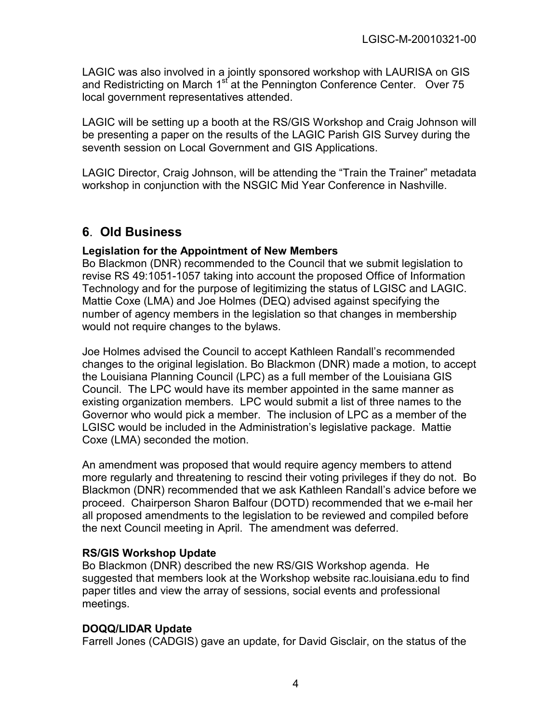LAGIC was also involved in a jointly sponsored workshop with LAURISA on GIS and Redistricting on March  $1<sup>st</sup>$  at the Pennington Conference Center. Over 75 local government representatives attended.

LAGIC will be setting up a booth at the RS/GIS Workshop and Craig Johnson will be presenting a paper on the results of the LAGIC Parish GIS Survey during the seventh session on Local Government and GIS Applications.

LAGIC Director, Craig Johnson, will be attending the "Train the Trainer" metadata workshop in conjunction with the NSGIC Mid Year Conference in Nashville.

# **6**. **Old Business**

#### **Legislation for the Appointment of New Members**

Bo Blackmon (DNR) recommended to the Council that we submit legislation to revise RS 49:1051-1057 taking into account the proposed Office of Information Technology and for the purpose of legitimizing the status of LGISC and LAGIC. Mattie Coxe (LMA) and Joe Holmes (DEQ) advised against specifying the number of agency members in the legislation so that changes in membership would not require changes to the bylaws.

Joe Holmes advised the Council to accept Kathleen Randall's recommended changes to the original legislation. Bo Blackmon (DNR) made a motion, to accept the Louisiana Planning Council (LPC) as a full member of the Louisiana GIS Council. The LPC would have its member appointed in the same manner as existing organization members. LPC would submit a list of three names to the Governor who would pick a member. The inclusion of LPC as a member of the LGISC would be included in the Administration's legislative package. Mattie Coxe (LMA) seconded the motion.

An amendment was proposed that would require agency members to attend more regularly and threatening to rescind their voting privileges if they do not. Bo Blackmon (DNR) recommended that we ask Kathleen Randall's advice before we proceed. Chairperson Sharon Balfour (DOTD) recommended that we e-mail her all proposed amendments to the legislation to be reviewed and compiled before the next Council meeting in April. The amendment was deferred.

#### **RS/GIS Workshop Update**

Bo Blackmon (DNR) described the new RS/GIS Workshop agenda. He suggested that members look at the Workshop website rac.louisiana.edu to find paper titles and view the array of sessions, social events and professional meetings.

#### **DOQQ/LIDAR Update**

Farrell Jones (CADGIS) gave an update, for David Gisclair, on the status of the